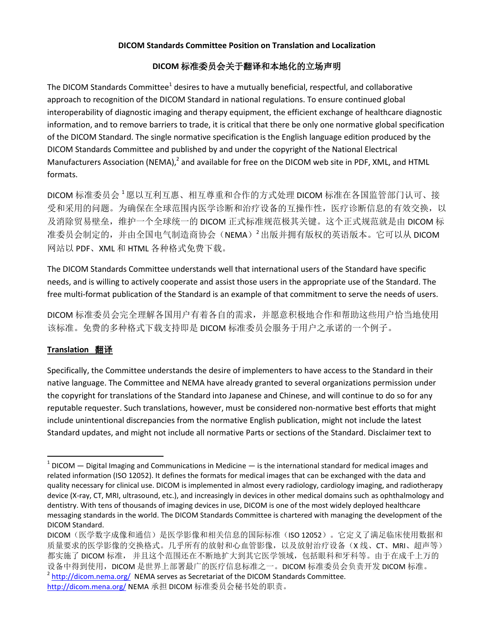#### **DICOM Standards Committee Position on Translation and Localization**

# <span id="page-0-1"></span><span id="page-0-0"></span>**DICOM** 标准委员会关于翻译和本地化的立场声明

The DICOM Standards Committee<sup>1</sup> desires to have a mutually beneficial, respectful, and collaborative approach to recognition of the DICOM Standard in national regulations. To ensure continued global interoperability of diagnostic imaging and therapy equipment, the efficient exchange of healthcare diagnostic information, and to remove barriers to trade, it is critical that there be only one normative global specification of the DICOM Standard. The single normative specification is the English language edition produced by the DICOM Standards Committee and published by and under the copyright of the National Electrical Manufacturers Association (NEMA),<sup>2</sup> and available for free on the DICOM web site in PDF, XML, and HTML formats.

DICOM 标准委员会 [1](#page-0-0)愿以互利互惠、相互尊重和合作的方式处理 DICOM 标准在各国监管部门认可、接 受和采用的问题。为确保在全球范围内医学诊断和治疗设备的互操作性,医疗诊断信息的有效交换,以 及消除贸易壁垒,维护一个全球统一的 DICOM 正式标准规范极其关键。这个正式规范就是由 DICOM 标 准委员会制定的,并由全国电气制造商协会(NEMA[\)](#page-0-1)<sup>2</sup>出版并拥有版权的英语版本。它可以从 DICOM 网站以 PDF、XML 和 HTML 各种格式免费下载。

The DICOM Standards Committee understands well that international users of the Standard have specific needs, and is willing to actively cooperate and assist those users in the appropriate use of the Standard. The free multi-format publication of the Standard is an example of that commitment to serve the needs of users.

DICOM 标准委员会完全理解各国用户有着各自的需求,并愿意积极地合作和帮助这些用户恰当地使用 该标准。免费的多种格式下载支持即是 DICOM 标准委员会服务于用户之承诺的一个例子。

### **Translation** 翻译

 $\overline{\phantom{a}}$ 

Specifically, the Committee understands the desire of implementers to have access to the Standard in their native language. The Committee and NEMA have already granted to several organizations permission under the copyright for translations of the Standard into Japanese and Chinese, and will continue to do so for any reputable requester. Such translations, however, must be considered non-normative best efforts that might include unintentional discrepancies from the normative English publication, might not include the latest Standard updates, and might not include all normative Parts or sections of the Standard. Disclaimer text to

<sup>2</sup> <http://dicom.nema.org/> NEMA serves as Secretariat of the DICOM Standards Committee. <http://dicom.mena.org/> NEMA 承担 DICOM 标准委员会秘书处的职责。

 $1$  DICOM  $-$  Digital Imaging and Communications in Medicine  $-$  is the international standard for medical images and related information (ISO 12052). It defines the formats for medical images that can be exchanged with the data and quality necessary for clinical use. DICOM is implemented in almost every radiology, cardiology imaging, and radiotherapy device (X-ray, CT, MRI, ultrasound, etc.), and increasingly in devices in other medical domains such as ophthalmology and dentistry. With tens of thousands of imaging devices in use, DICOM is one of the most widely deployed healthcare messaging standards in the world. The DICOM Standards Committee is chartered with managing the development of the DICOM Standard.

DICOM (医学数字成像和通信)是医学影像和相关信息的国际标准(ISO 12052)。它定义了满足临床使用数据和 质量要求的医学影像的交换格式。几乎所有的放射和心血管影像,以及放射治疗设备(X 线、CT、MRI、超声等) 都实施了 DICOM 标准, 并且这个范围还在不断地扩大到其它医学领域,包括眼科和牙科等。由于在成千上万的 设备中得到使用, DICOM 是世界上部署最广的医疗信息标准之一。DICOM 标准委员会负责开发 DICOM 标准。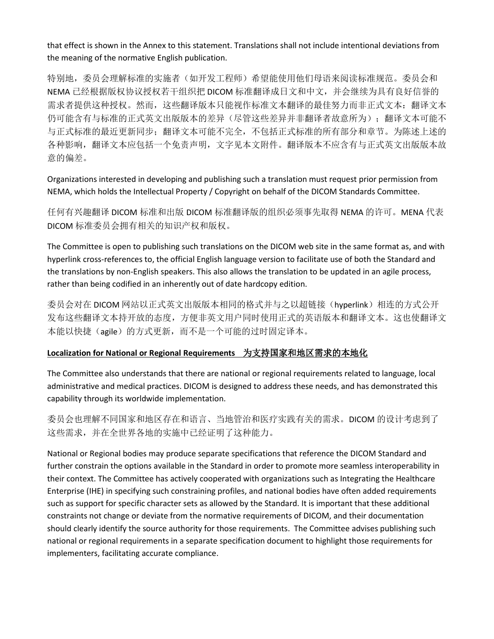that effect is shown in the Annex to this statement. Translations shall not include intentional deviations from the meaning of the normative English publication.

特别地,委员会理解标准的实施者(如开发工程师)希望能使用他们母语来阅读标准规范。委员会和 NEMA 已经根据版权协议授权若干组织把 DICOM 标准翻译成日文和中文,并会继续为具有良好信誉的 需求者提供这种授权。然而,这些翻译版本只能视作标准文本翻译的最佳努力而非正式文本:翻译文本 仍可能含有与标准的正式英文出版版本的差异(尽管这些差异并非翻译者故意所为);翻译文本可能不 与正式标准的最近更新同步;翻译文本可能不完全,不包括正式标准的所有部分和章节。为陈述上述的 各种影响,翻译文本应包括一个免责声明,文字见本文附件。翻译版本不应含有与正式英文出版版本故 意的偏差。

Organizations interested in developing and publishing such a translation must request prior permission from NEMA, which holds the Intellectual Property / Copyright on behalf of the DICOM Standards Committee.

任何有兴趣翻译 DICOM 标准和出版 DICOM 标准翻译版的组织必须事先取得 NEMA 的许可。MENA 代表 DICOM 标准委员会拥有相关的知识产权和版权。

The Committee is open to publishing such translations on the DICOM web site in the same format as, and with hyperlink cross-references to, the official English language version to facilitate use of both the Standard and the translations by non-English speakers. This also allows the translation to be updated in an agile process, rather than being codified in an inherently out of date hardcopy edition.

委员会对在 DICOM 网站以正式英文出版版本相同的格式并与之以超链接(hyperlink)相连的方式公开 发布这些翻译文本持开放的态度,方便非英文用户同时使用正式的英语版本和翻译文本。这也使翻译文 本能以快捷(agile)的方式更新,而不是一个可能的过时固定译本。

### **Localization for National or Regional Requirements** 为支持国家和地区需求的本地化

The Committee also understands that there are national or regional requirements related to language, local administrative and medical practices. DICOM is designed to address these needs, and has demonstrated this capability through its worldwide implementation.

委员会也理解不同国家和地区存在和语言、当地管治和医疗实践有关的需求。DICOM 的设计考虑到了 这些需求,并在全世界各地的实施中已经证明了这种能力。

National or Regional bodies may produce separate specifications that reference the DICOM Standard and further constrain the options available in the Standard in order to promote more seamless interoperability in their context. The Committee has actively cooperated with organizations such as Integrating the Healthcare Enterprise (IHE) in specifying such constraining profiles, and national bodies have often added requirements such as support for specific character sets as allowed by the Standard. It is important that these additional constraints not change or deviate from the normative requirements of DICOM, and their documentation should clearly identify the source authority for those requirements. The Committee advises publishing such national or regional requirements in a separate specification document to highlight those requirements for implementers, facilitating accurate compliance.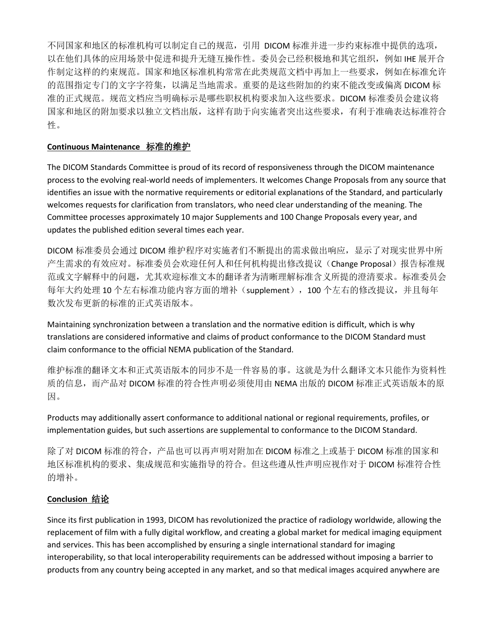不同国家和地区的标准机构可以制定自己的规范,引用 DICOM 标准并进一步约束标准中提供的选项, 以在他们具体的应用场景中促进和提升无缝互操作性。委员会已经积极地和其它组织,例如 IHE 展开合 作制定这样的约束规范。国家和地区标准机构常常在此类规范文档中再加上一些要求,例如在标准允许 的范围指定专门的文字字符集,以满足当地需求。重要的是这些附加的约束不能改变或偏离 DICOM 标 准的正式规范。规范文档应当明确标示是哪些职权机构要求加入这些要求。DICOM 标准委员会建议将 国家和地区的附加要求以独立文档出版,这样有助于向实施者突出这些要求,有利于准确表达标准符合 性。

### **Continuous Maintenance** 标准的维护

The DICOM Standards Committee is proud of its record of responsiveness through the DICOM maintenance process to the evolving real-world needs of implementers. It welcomes Change Proposals from any source that identifies an issue with the normative requirements or editorial explanations of the Standard, and particularly welcomes requests for clarification from translators, who need clear understanding of the meaning. The Committee processes approximately 10 major Supplements and 100 Change Proposals every year, and updates the published edition several times each year.

DICOM 标准委员会通过 DICOM 维护程序对实施者们不断提出的需求做出响应,显示了对现实世界中所 产生需求的有效应对。标准委员会欢迎任何人和任何机构提出修改提议(Change Proposal)报告标准规 范或文字解释中的问题,尤其欢迎标准文本的翻译者为清晰理解标准含义所提的澄清要求。标准委员会 每年大约处理 10 个左右标准功能内容方面的增补(supplement),100 个左右的修改提议,并且每年 数次发布更新的标准的正式英语版本。

Maintaining synchronization between a translation and the normative edition is difficult, which is why translations are considered informative and claims of product conformance to the DICOM Standard must claim conformance to the official NEMA publication of the Standard.

维护标准的翻译文本和正式英语版本的同步不是一件容易的事。这就是为什么翻译文本只能作为资料性 质的信息,而产品对 DICOM 标准的符合性声明必须使用由 NEMA 出版的 DICOM 标准正式英语版本的原 因。

Products may additionally assert conformance to additional national or regional requirements, profiles, or implementation guides, but such assertions are supplemental to conformance to the DICOM Standard.

除了对 DICOM 标准的符合,产品也可以再声明对附加在 DICOM 标准之上或基于 DICOM 标准的国家和 地区标准机构的要求、集成规范和实施指导的符合。但这些遵从性声明应视作对于 DICOM 标准符合性 的增补。

# **Conclusion** 结论

Since its first publication in 1993, DICOM has revolutionized the practice of radiology worldwide, allowing the replacement of film with a fully digital workflow, and creating a global market for medical imaging equipment and services. This has been accomplished by ensuring a single international standard for imaging interoperability, so that local interoperability requirements can be addressed without imposing a barrier to products from any country being accepted in any market, and so that medical images acquired anywhere are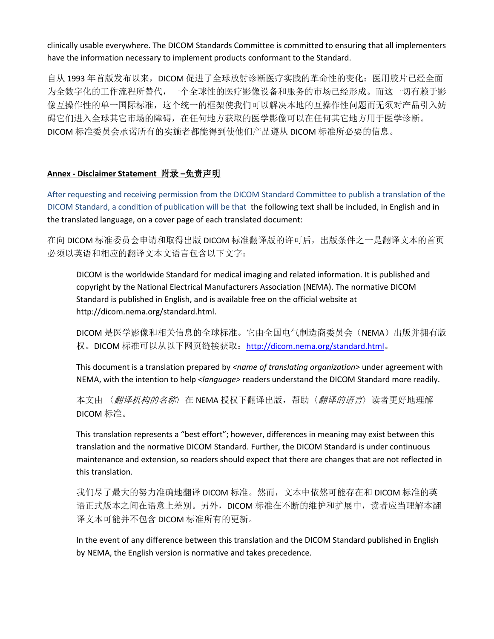clinically usable everywhere. The DICOM Standards Committee is committed to ensuring that all implementers have the information necessary to implement products conformant to the Standard.

自从 1993 年首版发布以来,DICOM 促进了全球放射诊断医疗实践的革命性的变化:医用胶片已经全面 为全数字化的工作流程所替代,一个全球性的医疗影像设备和服务的市场已经形成。而这一切有赖于影 像互操作性的单一国际标准,这个统一的框架使我们可以解决本地的互操作性问题而无须对产品引入妨 碍它们进入全球其它市场的障碍,在任何地方获取的医学影像可以在任何其它地方用于医学诊断。 DICOM 标准委员会承诺所有的实施者都能得到使他们产品遵从 DICOM 标准所必要的信息。

# **Annex - Disclaimer Statement** 附录 **–**免责声明

After requesting and receiving permission from the DICOM Standard Committee to publish a translation of the DICOM Standard, a condition of publication will be that the following text shall be included, in English and in the translated language, on a cover page of each translated document:

在向 DICOM 标准委员会申请和取得出版 DICOM 标准翻译版的许可后,出版条件之一是翻译文本的首页 必须以英语和相应的翻译文本文语言包含以下文字:

DICOM is the worldwide Standard for medical imaging and related information. It is published and copyright by the National Electrical Manufacturers Association (NEMA). The normative DICOM Standard is published in English, and is available free on the official website at http://dicom.nema.org/standard.html.

DICOM 是医学影像和相关信息的全球标准。它由全国电气制造商委员会(NEMA)出版并拥有版 权。DICOM 标准可以从以下网页链接获取: <http://dicom.nema.org/standard.html>。

This document is a translation prepared by *<name of translating organization>* under agreement with NEMA, with the intention to help *<language>* readers understand the DICOM Standard more readily.

本文由〈翻译机构的名称〉在 NEMA 授权下翻译出版,帮助〈翻译的语言〉读者更好地理解 DICOM 标准。

This translation represents a "best effort"; however, differences in meaning may exist between this translation and the normative DICOM Standard. Further, the DICOM Standard is under continuous maintenance and extension, so readers should expect that there are changes that are not reflected in this translation.

我们尽了最大的努力准确地翻译 DICOM 标准。然而,文本中依然可能存在和 DICOM 标准的英 语正式版本之间在语意上差别。另外,DICOM 标准在不断的维护和扩展中,读者应当理解本翻 译文本可能并不包含 DICOM 标准所有的更新。

In the event of any difference between this translation and the DICOM Standard published in English by NEMA, the English version is normative and takes precedence.